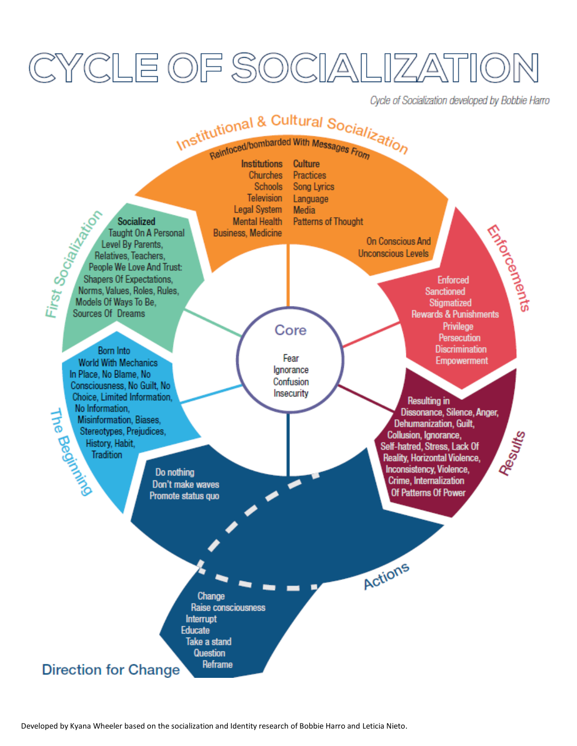# CYCLE OF SOCIALIZA

Cycle of Socialization developed by Bobbie Harro

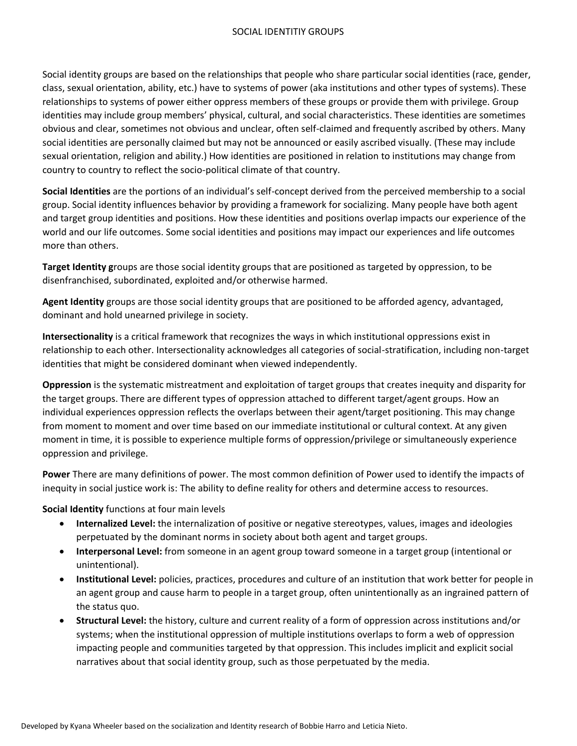Social identity groups are based on the relationships that people who share particular social identities (race, gender, class, sexual orientation, ability, etc.) have to systems of power (aka institutions and other types of systems). These relationships to systems of power either oppress members of these groups or provide them with privilege. Group identities may include group members' physical, cultural, and social characteristics. These identities are sometimes obvious and clear, sometimes not obvious and unclear, often self-claimed and frequently ascribed by others. Many social identities are personally claimed but may not be announced or easily ascribed visually. (These may include sexual orientation, religion and ability.) How identities are positioned in relation to institutions may change from country to country to reflect the socio-political climate of that country.

**Social Identities** are the portions of an individual's self-concept derived from the perceived membership to a social group. Social identity influences behavior by providing a framework for socializing. Many people have both agent and target group identities and positions. How these identities and positions overlap impacts our experience of the world and our life outcomes. Some social identities and positions may impact our experiences and life outcomes more than others.

**Target Identity g**roups are those social identity groups that are positioned as targeted by oppression, to be disenfranchised, subordinated, exploited and/or otherwise harmed.

**Agent Identity** groups are those social identity groups that are positioned to be afforded agency, advantaged, dominant and hold unearned privilege in society.

**Intersectionality** is a critical framework that recognizes the ways in which institutional oppressions exist in relationship to each other. Intersectionality acknowledges all categories of social-stratification, including non-target identities that might be considered dominant when viewed independently.

**Oppression** is the systematic mistreatment and exploitation of target groups that creates inequity and disparity for the target groups. There are different types of oppression attached to different target/agent groups. How an individual experiences oppression reflects the overlaps between their agent/target positioning. This may change from moment to moment and over time based on our immediate institutional or cultural context. At any given moment in time, it is possible to experience multiple forms of oppression/privilege or simultaneously experience oppression and privilege.

**Power** There are many definitions of power. The most common definition of Power used to identify the impacts of inequity in social justice work is: The ability to define reality for others and determine access to resources.

**Social Identity** functions at four main levels

- **Internalized Level:** the internalization of positive or negative stereotypes, values, images and ideologies perpetuated by the dominant norms in society about both agent and target groups.
- **Interpersonal Level:** from someone in an agent group toward someone in a target group (intentional or unintentional).
- **Institutional Level:** policies, practices, procedures and culture of an institution that work better for people in an agent group and cause harm to people in a target group, often unintentionally as an ingrained pattern of the status quo.
- **Structural Level:** the history, culture and current reality of a form of oppression across institutions and/or systems; when the institutional oppression of multiple institutions overlaps to form a web of oppression impacting people and communities targeted by that oppression. This includes implicit and explicit social narratives about that social identity group, such as those perpetuated by the media.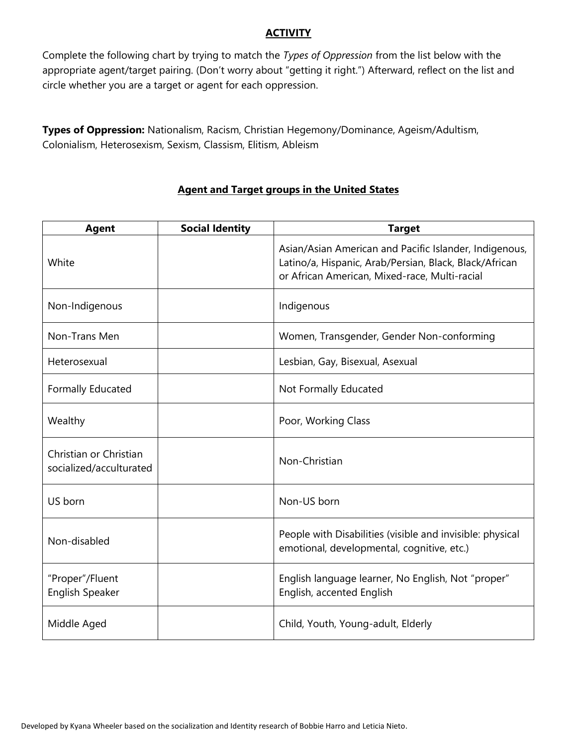## **ACTIVITY**

Complete the following chart by trying to match the *Types of Oppression* from the list below with the appropriate agent/target pairing. (Don't worry about "getting it right.") Afterward, reflect on the list and circle whether you are a target or agent for each oppression.

**Types of Oppression:** Nationalism, Racism, Christian Hegemony/Dominance, Ageism/Adultism, Colonialism, Heterosexism, Sexism, Classism, Elitism, Ableism

| <b>Agent</b>                                      | <b>Social Identity</b> | <b>Target</b>                                                                                                                                                     |  |
|---------------------------------------------------|------------------------|-------------------------------------------------------------------------------------------------------------------------------------------------------------------|--|
| White                                             |                        | Asian/Asian American and Pacific Islander, Indigenous,<br>Latino/a, Hispanic, Arab/Persian, Black, Black/African<br>or African American, Mixed-race, Multi-racial |  |
| Non-Indigenous                                    |                        | Indigenous                                                                                                                                                        |  |
| Non-Trans Men                                     |                        | Women, Transgender, Gender Non-conforming                                                                                                                         |  |
| Heterosexual                                      |                        | Lesbian, Gay, Bisexual, Asexual                                                                                                                                   |  |
| Formally Educated                                 |                        | Not Formally Educated                                                                                                                                             |  |
| Wealthy                                           |                        | Poor, Working Class                                                                                                                                               |  |
| Christian or Christian<br>socialized/acculturated |                        | Non-Christian                                                                                                                                                     |  |
| US born                                           |                        | Non-US born                                                                                                                                                       |  |
| Non-disabled                                      |                        | People with Disabilities (visible and invisible: physical<br>emotional, developmental, cognitive, etc.)                                                           |  |
| "Proper"/Fluent<br>English Speaker                |                        | English language learner, No English, Not "proper"<br>English, accented English                                                                                   |  |
| Middle Aged                                       |                        | Child, Youth, Young-adult, Elderly                                                                                                                                |  |

# **Agent and Target groups in the United States**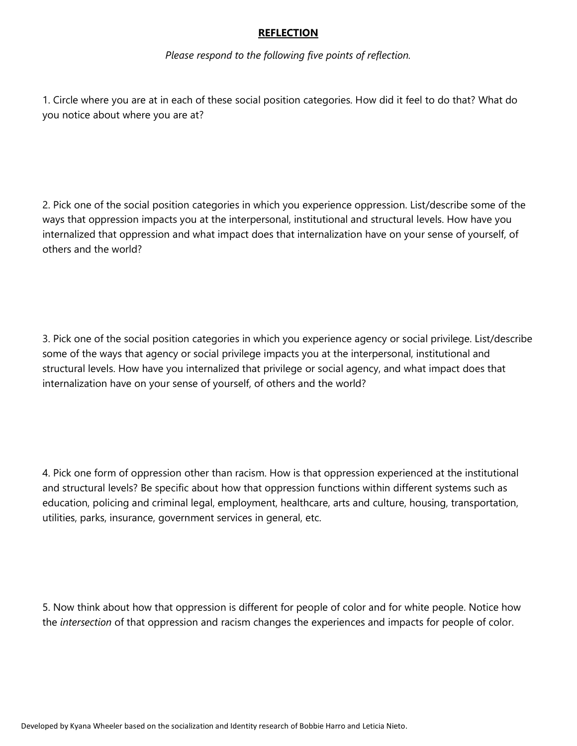### **REFLECTION**

*Please respond to the following five points of reflection.*

1. Circle where you are at in each of these social position categories. How did it feel to do that? What do you notice about where you are at?

2. Pick one of the social position categories in which you experience oppression. List/describe some of the ways that oppression impacts you at the interpersonal, institutional and structural levels. How have you internalized that oppression and what impact does that internalization have on your sense of yourself, of others and the world?

3. Pick one of the social position categories in which you experience agency or social privilege. List/describe some of the ways that agency or social privilege impacts you at the interpersonal, institutional and structural levels. How have you internalized that privilege or social agency, and what impact does that internalization have on your sense of yourself, of others and the world?

4. Pick one form of oppression other than racism. How is that oppression experienced at the institutional and structural levels? Be specific about how that oppression functions within different systems such as education, policing and criminal legal, employment, healthcare, arts and culture, housing, transportation, utilities, parks, insurance, government services in general, etc.

5. Now think about how that oppression is different for people of color and for white people. Notice how the *intersection* of that oppression and racism changes the experiences and impacts for people of color.